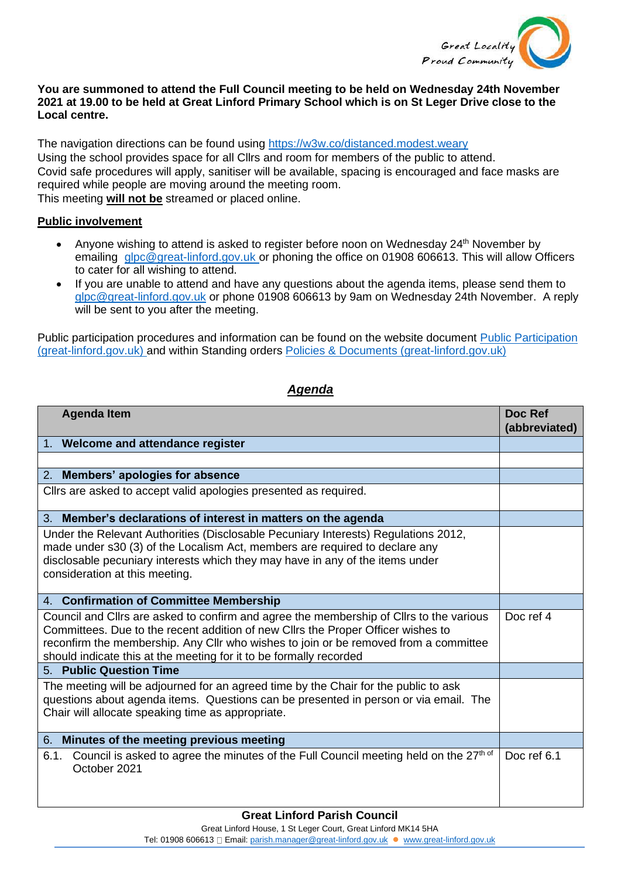

## **You are summoned to attend the Full Council meeting to be held on Wednesday 24th November 2021 at 19.00 to be held at Great Linford Primary School which is on St Leger Drive close to the Local centre.**

The navigation directions can be found using<https://w3w.co/distanced.modest.weary> Using the school provides space for all Cllrs and room for members of the public to attend. Covid safe procedures will apply, sanitiser will be available, spacing is encouraged and face masks are required while people are moving around the meeting room. This meeting **will not be** streamed or placed online.

## **Public involvement**

- Anyone wishing to attend is asked to register before noon on Wednesday 24<sup>th</sup> November by emailing [glpc@great-linford.gov.uk](mailto:glpc@great-linford.gov.uk) or phoning the office on 01908 606613. This will allow Officers to cater for all wishing to attend.
- If you are unable to attend and have any questions about the agenda items, please send them to [glpc@great-linford.gov.uk](mailto:glpc@great-linford.gov.uk) or phone 01908 606613 by 9am on Wednesday 24th November. A reply will be sent to you after the meeting.

Public participation procedures and information can be found on the website document [Public Participation](https://www.great-linford.gov.uk/council-meetings/public-participation/)  [\(great-linford.gov.uk\)](https://www.great-linford.gov.uk/council-meetings/public-participation/) and within Standing orders [Policies & Documents \(great-linford.gov.uk\)](https://www.great-linford.gov.uk/the-parish-council/policies-documents/)

## *Agenda*

| <b>Agenda Item</b>                                                                                                                                                                                                                                                                                                                        | Doc Ref<br>(abbreviated) |
|-------------------------------------------------------------------------------------------------------------------------------------------------------------------------------------------------------------------------------------------------------------------------------------------------------------------------------------------|--------------------------|
| 1. Welcome and attendance register                                                                                                                                                                                                                                                                                                        |                          |
|                                                                                                                                                                                                                                                                                                                                           |                          |
| 2. Members' apologies for absence                                                                                                                                                                                                                                                                                                         |                          |
| Cllrs are asked to accept valid apologies presented as required.                                                                                                                                                                                                                                                                          |                          |
| 3. Member's declarations of interest in matters on the agenda                                                                                                                                                                                                                                                                             |                          |
| Under the Relevant Authorities (Disclosable Pecuniary Interests) Regulations 2012,<br>made under s30 (3) of the Localism Act, members are required to declare any<br>disclosable pecuniary interests which they may have in any of the items under<br>consideration at this meeting.                                                      |                          |
| 4. Confirmation of Committee Membership                                                                                                                                                                                                                                                                                                   |                          |
| Council and Cllrs are asked to confirm and agree the membership of Cllrs to the various<br>Committees. Due to the recent addition of new Cllrs the Proper Officer wishes to<br>reconfirm the membership. Any Cllr who wishes to join or be removed from a committee<br>should indicate this at the meeting for it to be formally recorded | Doc ref 4                |
| 5. Public Question Time                                                                                                                                                                                                                                                                                                                   |                          |
| The meeting will be adjourned for an agreed time by the Chair for the public to ask<br>questions about agenda items. Questions can be presented in person or via email. The<br>Chair will allocate speaking time as appropriate.                                                                                                          |                          |
| Minutes of the meeting previous meeting<br>6.                                                                                                                                                                                                                                                                                             |                          |
| Council is asked to agree the minutes of the Full Council meeting held on the 27th of<br>6.1.<br>October 2021                                                                                                                                                                                                                             | Doc ref 6.1              |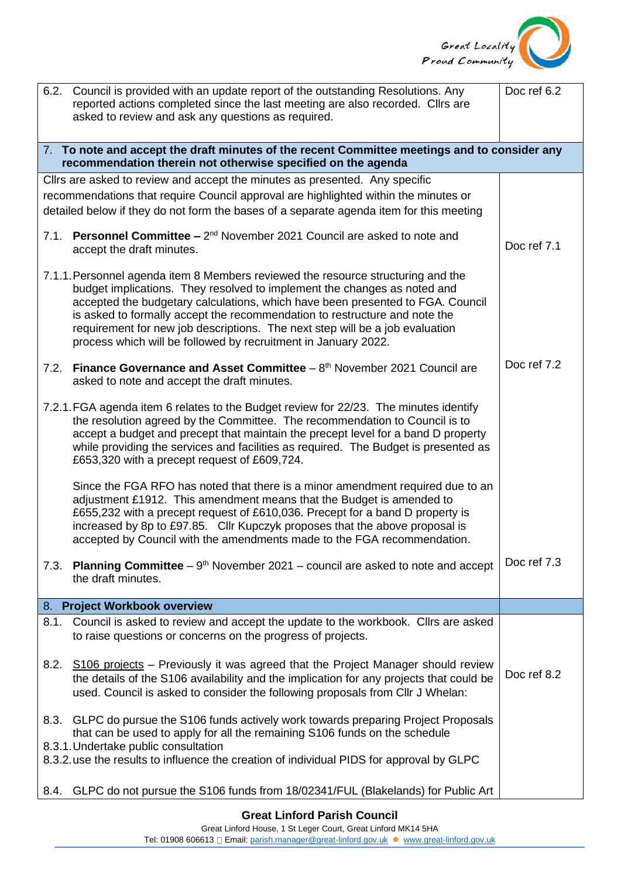

| 6.2.                                                                                                                                                         | Council is provided with an update report of the outstanding Resolutions. Any<br>reported actions completed since the last meeting are also recorded. Cllrs are<br>asked to review and ask any questions as required.                                                                                                                                                                                                                                                          | Doc ref 6.2 |  |
|--------------------------------------------------------------------------------------------------------------------------------------------------------------|--------------------------------------------------------------------------------------------------------------------------------------------------------------------------------------------------------------------------------------------------------------------------------------------------------------------------------------------------------------------------------------------------------------------------------------------------------------------------------|-------------|--|
| 7. To note and accept the draft minutes of the recent Committee meetings and to consider any<br>recommendation therein not otherwise specified on the agenda |                                                                                                                                                                                                                                                                                                                                                                                                                                                                                |             |  |
|                                                                                                                                                              | Cllrs are asked to review and accept the minutes as presented. Any specific                                                                                                                                                                                                                                                                                                                                                                                                    |             |  |
|                                                                                                                                                              | recommendations that require Council approval are highlighted within the minutes or                                                                                                                                                                                                                                                                                                                                                                                            |             |  |
|                                                                                                                                                              | detailed below if they do not form the bases of a separate agenda item for this meeting                                                                                                                                                                                                                                                                                                                                                                                        |             |  |
| 7.1.                                                                                                                                                         | Personnel Committee - 2 <sup>nd</sup> November 2021 Council are asked to note and<br>accept the draft minutes.                                                                                                                                                                                                                                                                                                                                                                 | Doc ref 7.1 |  |
|                                                                                                                                                              | 7.1.1. Personnel agenda item 8 Members reviewed the resource structuring and the<br>budget implications. They resolved to implement the changes as noted and<br>accepted the budgetary calculations, which have been presented to FGA. Council<br>is asked to formally accept the recommendation to restructure and note the<br>requirement for new job descriptions. The next step will be a job evaluation<br>process which will be followed by recruitment in January 2022. |             |  |
| 7.2.                                                                                                                                                         | <b>Finance Governance and Asset Committee</b> $-8th$ November 2021 Council are<br>asked to note and accept the draft minutes.                                                                                                                                                                                                                                                                                                                                                  | Doc ref 7.2 |  |
|                                                                                                                                                              | 7.2.1. FGA agenda item 6 relates to the Budget review for 22/23. The minutes identify<br>the resolution agreed by the Committee. The recommendation to Council is to<br>accept a budget and precept that maintain the precept level for a band D property<br>while providing the services and facilities as required. The Budget is presented as<br>£653,320 with a precept request of £609,724.                                                                               |             |  |
|                                                                                                                                                              | Since the FGA RFO has noted that there is a minor amendment required due to an<br>adjustment £1912. This amendment means that the Budget is amended to<br>£655,232 with a precept request of £610,036. Precept for a band D property is<br>increased by 8p to £97.85. Cllr Kupczyk proposes that the above proposal is<br>accepted by Council with the amendments made to the FGA recommendation.                                                                              |             |  |
| 7.3.                                                                                                                                                         | <b>Planning Committee</b> – $9th$ November 2021 – council are asked to note and accept<br>the draft minutes.                                                                                                                                                                                                                                                                                                                                                                   | Doc ref 7.3 |  |
|                                                                                                                                                              | 8. Project Workbook overview                                                                                                                                                                                                                                                                                                                                                                                                                                                   |             |  |
| 8.1.                                                                                                                                                         | Council is asked to review and accept the update to the workbook. Clirs are asked<br>to raise questions or concerns on the progress of projects.                                                                                                                                                                                                                                                                                                                               |             |  |
| 8.2.                                                                                                                                                         | S106 projects - Previously it was agreed that the Project Manager should review<br>the details of the S106 availability and the implication for any projects that could be<br>used. Council is asked to consider the following proposals from Cllr J Whelan:                                                                                                                                                                                                                   | Doc ref 8.2 |  |
| 8.3.                                                                                                                                                         | GLPC do pursue the S106 funds actively work towards preparing Project Proposals<br>that can be used to apply for all the remaining S106 funds on the schedule<br>8.3.1. Undertake public consultation<br>8.3.2. use the results to influence the creation of individual PIDS for approval by GLPC                                                                                                                                                                              |             |  |
| 8.4.                                                                                                                                                         | GLPC do not pursue the S106 funds from 18/02341/FUL (Blakelands) for Public Art                                                                                                                                                                                                                                                                                                                                                                                                |             |  |